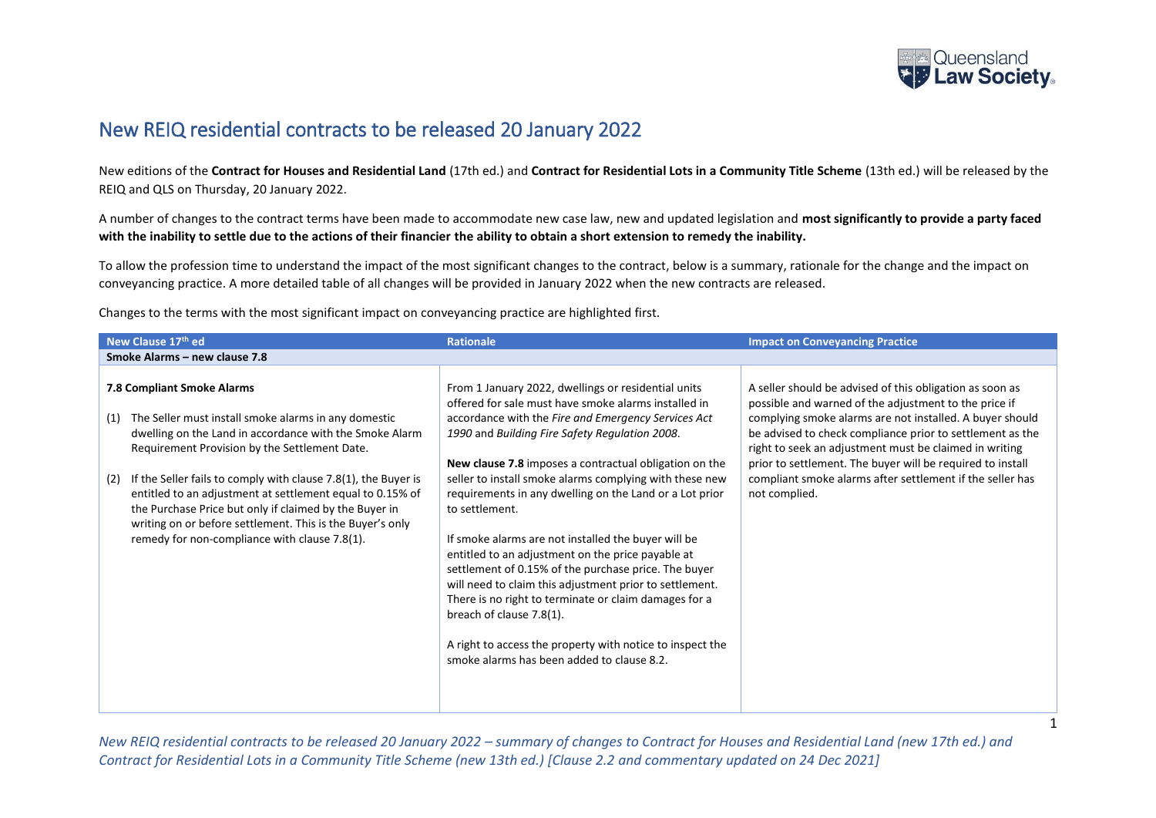

## New REIQ residential contracts to be released 20 January 2022

New editions of the **Contract for Houses and Residential Land** (17th ed.) and **Contract for Residential Lots in a Community Title Scheme** (13th ed.) will be released by the REIQ and QLS on Thursday, 20 January 2022.

A number of changes to the contract terms have been made to accommodate new case law, new and updated legislation and **most significantly to provide a party faced with the inability to settle due to the actions of their financier the ability to obtain a short extension to remedy the inability.**

To allow the profession time to understand the impact of the most significant changes to the contract, below is a summary, rationale for the change and the impact on conveyancing practice. A more detailed table of all changes will be provided in January 2022 when the new contracts are released.

Changes to the terms with the most significant impact on conveyancing practice are highlighted first.

| New Clause 17th ed                                                                                                                                                                                                                                                                                                                                                                                                                                                                                                  | <b>Rationale</b>                                                                                                                                                                                                                                                                                                                                                                                                                                                                                                                                                                                                                                                                                                                                                                                                                                      | <b>Impact on Conveyancing Practice</b>                                                                                                                                                                                                                                                                                                                                                                                                           |
|---------------------------------------------------------------------------------------------------------------------------------------------------------------------------------------------------------------------------------------------------------------------------------------------------------------------------------------------------------------------------------------------------------------------------------------------------------------------------------------------------------------------|-------------------------------------------------------------------------------------------------------------------------------------------------------------------------------------------------------------------------------------------------------------------------------------------------------------------------------------------------------------------------------------------------------------------------------------------------------------------------------------------------------------------------------------------------------------------------------------------------------------------------------------------------------------------------------------------------------------------------------------------------------------------------------------------------------------------------------------------------------|--------------------------------------------------------------------------------------------------------------------------------------------------------------------------------------------------------------------------------------------------------------------------------------------------------------------------------------------------------------------------------------------------------------------------------------------------|
| Smoke Alarms - new clause 7.8                                                                                                                                                                                                                                                                                                                                                                                                                                                                                       |                                                                                                                                                                                                                                                                                                                                                                                                                                                                                                                                                                                                                                                                                                                                                                                                                                                       |                                                                                                                                                                                                                                                                                                                                                                                                                                                  |
| 7.8 Compliant Smoke Alarms<br>The Seller must install smoke alarms in any domestic<br>(1)<br>dwelling on the Land in accordance with the Smoke Alarm<br>Requirement Provision by the Settlement Date.<br>If the Seller fails to comply with clause 7.8(1), the Buyer is<br>(2)<br>entitled to an adjustment at settlement equal to 0.15% of<br>the Purchase Price but only if claimed by the Buyer in<br>writing on or before settlement. This is the Buyer's only<br>remedy for non-compliance with clause 7.8(1). | From 1 January 2022, dwellings or residential units<br>offered for sale must have smoke alarms installed in<br>accordance with the Fire and Emergency Services Act<br>1990 and Building Fire Safety Regulation 2008.<br>New clause 7.8 imposes a contractual obligation on the<br>seller to install smoke alarms complying with these new<br>requirements in any dwelling on the Land or a Lot prior<br>to settlement.<br>If smoke alarms are not installed the buyer will be<br>entitled to an adjustment on the price payable at<br>settlement of 0.15% of the purchase price. The buyer<br>will need to claim this adjustment prior to settlement.<br>There is no right to terminate or claim damages for a<br>breach of clause 7.8(1).<br>A right to access the property with notice to inspect the<br>smoke alarms has been added to clause 8.2. | A seller should be advised of this obligation as soon as<br>possible and warned of the adjustment to the price if<br>complying smoke alarms are not installed. A buyer should<br>be advised to check compliance prior to settlement as the<br>right to seek an adjustment must be claimed in writing<br>prior to settlement. The buyer will be required to install<br>compliant smoke alarms after settlement if the seller has<br>not complied. |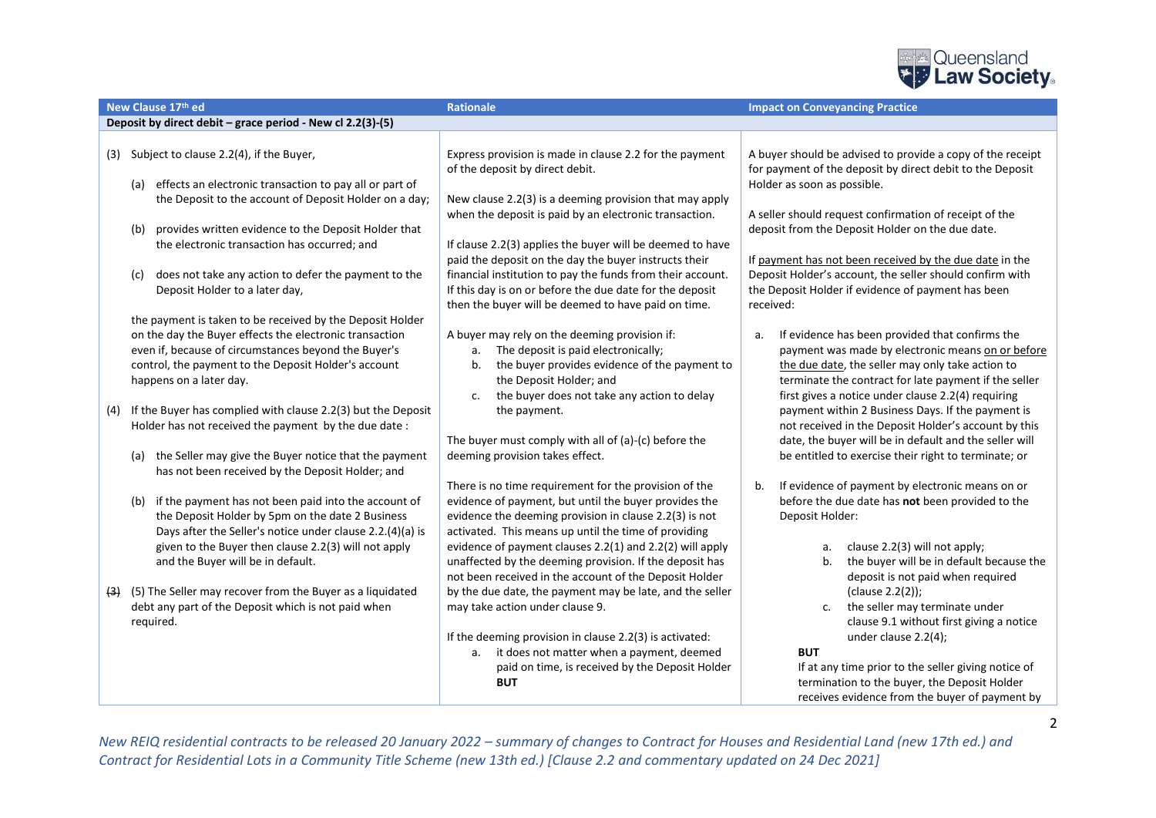

|     | New Clause 17th ed                                                                                                                                                                                                                                                        | Rationale                                                                                                                                                                                                                                                                                                                                                | <b>Impact on Conveyancing Practice</b>                                                                                                                                                                                                                                        |
|-----|---------------------------------------------------------------------------------------------------------------------------------------------------------------------------------------------------------------------------------------------------------------------------|----------------------------------------------------------------------------------------------------------------------------------------------------------------------------------------------------------------------------------------------------------------------------------------------------------------------------------------------------------|-------------------------------------------------------------------------------------------------------------------------------------------------------------------------------------------------------------------------------------------------------------------------------|
|     | Deposit by direct debit - grace period - New cl 2.2(3)-(5)                                                                                                                                                                                                                |                                                                                                                                                                                                                                                                                                                                                          |                                                                                                                                                                                                                                                                               |
| (3) | Subject to clause 2.2(4), if the Buyer,                                                                                                                                                                                                                                   | Express provision is made in clause 2.2 for the payment<br>of the deposit by direct debit.                                                                                                                                                                                                                                                               | A buyer should be advised to provide a copy of the receipt<br>for payment of the deposit by direct debit to the Deposit                                                                                                                                                       |
|     | effects an electronic transaction to pay all or part of<br>(a)<br>the Deposit to the account of Deposit Holder on a day;                                                                                                                                                  | New clause 2.2(3) is a deeming provision that may apply<br>when the deposit is paid by an electronic transaction.                                                                                                                                                                                                                                        | Holder as soon as possible.<br>A seller should request confirmation of receipt of the                                                                                                                                                                                         |
|     | provides written evidence to the Deposit Holder that<br>(b)<br>the electronic transaction has occurred: and                                                                                                                                                               | If clause 2.2(3) applies the buyer will be deemed to have<br>paid the deposit on the day the buyer instructs their                                                                                                                                                                                                                                       | deposit from the Deposit Holder on the due date.<br>If payment has not been received by the due date in the                                                                                                                                                                   |
|     | does not take any action to defer the payment to the<br>(c)<br>Deposit Holder to a later day,                                                                                                                                                                             | financial institution to pay the funds from their account.<br>If this day is on or before the due date for the deposit<br>then the buyer will be deemed to have paid on time.                                                                                                                                                                            | Deposit Holder's account, the seller should confirm with<br>the Deposit Holder if evidence of payment has been<br>received:                                                                                                                                                   |
|     | the payment is taken to be received by the Deposit Holder<br>on the day the Buyer effects the electronic transaction<br>even if, because of circumstances beyond the Buyer's<br>control, the payment to the Deposit Holder's account<br>happens on a later day.           | A buyer may rely on the deeming provision if:<br>The deposit is paid electronically;<br>a.<br>the buyer provides evidence of the payment to<br>b.<br>the Deposit Holder; and<br>the buyer does not take any action to delay<br>c.                                                                                                                        | If evidence has been provided that confirms the<br>a.<br>payment was made by electronic means on or before<br>the due date, the seller may only take action to<br>terminate the contract for late payment if the seller<br>first gives a notice under clause 2.2(4) requiring |
| (4) | If the Buyer has complied with clause 2.2(3) but the Deposit<br>Holder has not received the payment by the due date :<br>the Seller may give the Buyer notice that the payment<br>(a)                                                                                     | the payment.<br>The buyer must comply with all of (a)-(c) before the<br>deeming provision takes effect.                                                                                                                                                                                                                                                  | payment within 2 Business Days. If the payment is<br>not received in the Deposit Holder's account by this<br>date, the buyer will be in default and the seller will<br>be entitled to exercise their right to terminate; or                                                   |
|     | has not been received by the Deposit Holder; and                                                                                                                                                                                                                          | There is no time requirement for the provision of the                                                                                                                                                                                                                                                                                                    | If evidence of payment by electronic means on or<br>b.                                                                                                                                                                                                                        |
|     | if the payment has not been paid into the account of<br>(b)<br>the Deposit Holder by 5pm on the date 2 Business<br>Days after the Seller's notice under clause 2.2.(4)(a) is<br>given to the Buyer then clause 2.2(3) will not apply<br>and the Buyer will be in default. | evidence of payment, but until the buyer provides the<br>evidence the deeming provision in clause 2.2(3) is not<br>activated. This means up until the time of providing<br>evidence of payment clauses 2.2(1) and 2.2(2) will apply<br>unaffected by the deeming provision. If the deposit has<br>not been received in the account of the Deposit Holder | before the due date has not been provided to the<br>Deposit Holder:<br>clause 2.2(3) will not apply;<br>а.<br>the buyer will be in default because the<br>b.<br>deposit is not paid when required                                                                             |
| (3) | (5) The Seller may recover from the Buyer as a liquidated<br>debt any part of the Deposit which is not paid when<br>required.                                                                                                                                             | by the due date, the payment may be late, and the seller<br>may take action under clause 9.<br>If the deeming provision in clause 2.2(3) is activated:                                                                                                                                                                                                   | (clause 2.2(2));<br>the seller may terminate under<br>c.<br>clause 9.1 without first giving a notice<br>under clause 2.2(4);                                                                                                                                                  |
|     |                                                                                                                                                                                                                                                                           | a. it does not matter when a payment, deemed<br>paid on time, is received by the Deposit Holder<br><b>BUT</b>                                                                                                                                                                                                                                            | <b>BUT</b><br>If at any time prior to the seller giving notice of<br>termination to the buyer, the Deposit Holder<br>receives evidence from the buyer of payment by                                                                                                           |

2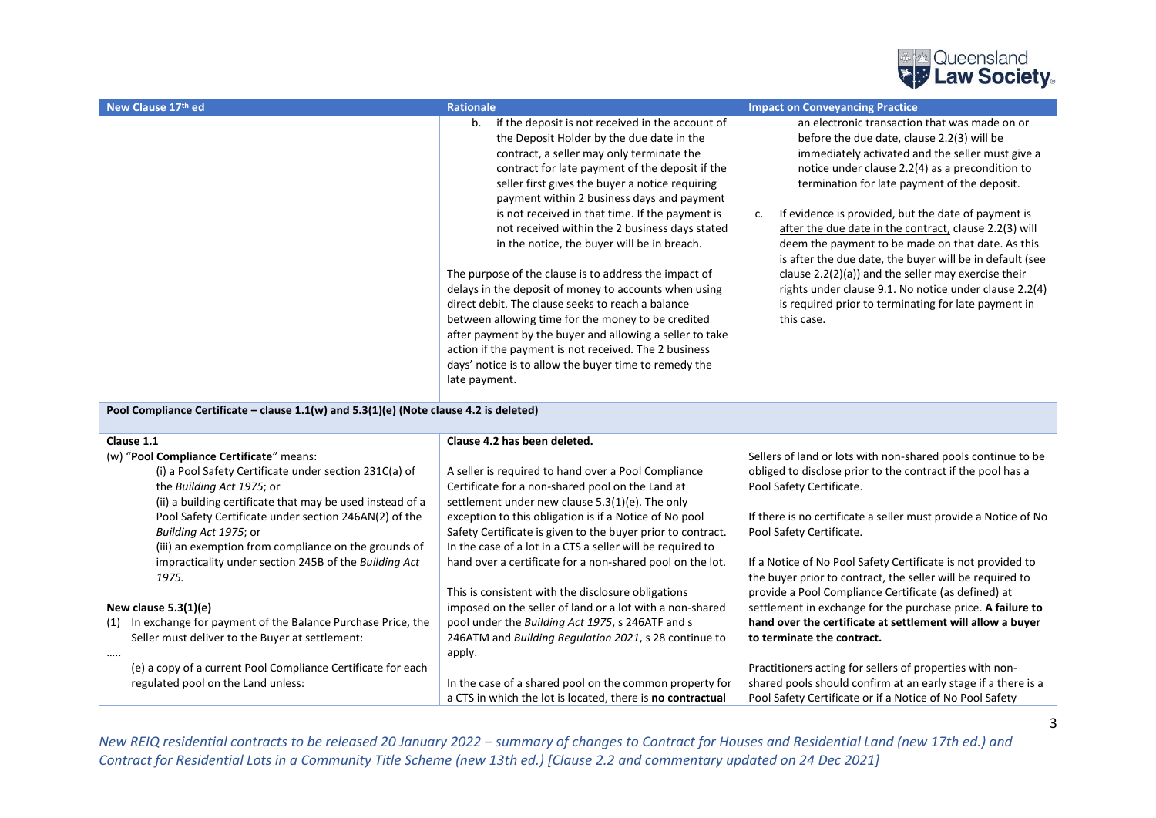

| New Clause 17th ed                                                                     | <b>Rationale</b>                                                                                                                                                                                                                                                                                                                                                                                                                                                                                                                                                                                                                                                                                                                                                                                                                                                                     | <b>Impact on Conveyancing Practice</b>                                                                                                                                                                                                                                                                                                                                                                                                                                                                                                                                                                                                                                            |
|----------------------------------------------------------------------------------------|--------------------------------------------------------------------------------------------------------------------------------------------------------------------------------------------------------------------------------------------------------------------------------------------------------------------------------------------------------------------------------------------------------------------------------------------------------------------------------------------------------------------------------------------------------------------------------------------------------------------------------------------------------------------------------------------------------------------------------------------------------------------------------------------------------------------------------------------------------------------------------------|-----------------------------------------------------------------------------------------------------------------------------------------------------------------------------------------------------------------------------------------------------------------------------------------------------------------------------------------------------------------------------------------------------------------------------------------------------------------------------------------------------------------------------------------------------------------------------------------------------------------------------------------------------------------------------------|
|                                                                                        | b.<br>if the deposit is not received in the account of<br>the Deposit Holder by the due date in the<br>contract, a seller may only terminate the<br>contract for late payment of the deposit if the<br>seller first gives the buyer a notice requiring<br>payment within 2 business days and payment<br>is not received in that time. If the payment is<br>not received within the 2 business days stated<br>in the notice, the buyer will be in breach.<br>The purpose of the clause is to address the impact of<br>delays in the deposit of money to accounts when using<br>direct debit. The clause seeks to reach a balance<br>between allowing time for the money to be credited<br>after payment by the buyer and allowing a seller to take<br>action if the payment is not received. The 2 business<br>days' notice is to allow the buyer time to remedy the<br>late payment. | an electronic transaction that was made on or<br>before the due date, clause 2.2(3) will be<br>immediately activated and the seller must give a<br>notice under clause 2.2(4) as a precondition to<br>termination for late payment of the deposit.<br>If evidence is provided, but the date of payment is<br>c.<br>after the due date in the contract, clause 2.2(3) will<br>deem the payment to be made on that date. As this<br>is after the due date, the buyer will be in default (see<br>clause 2.2(2)(a)) and the seller may exercise their<br>rights under clause 9.1. No notice under clause 2.2(4)<br>is required prior to terminating for late payment in<br>this case. |
| Pool Compliance Certificate - clause 1.1(w) and 5.3(1)(e) (Note clause 4.2 is deleted) |                                                                                                                                                                                                                                                                                                                                                                                                                                                                                                                                                                                                                                                                                                                                                                                                                                                                                      |                                                                                                                                                                                                                                                                                                                                                                                                                                                                                                                                                                                                                                                                                   |
| Clause 1.1                                                                             | Clause 4.2 has been deleted.                                                                                                                                                                                                                                                                                                                                                                                                                                                                                                                                                                                                                                                                                                                                                                                                                                                         |                                                                                                                                                                                                                                                                                                                                                                                                                                                                                                                                                                                                                                                                                   |
| (w) "Pool Compliance Certificate" means:                                               |                                                                                                                                                                                                                                                                                                                                                                                                                                                                                                                                                                                                                                                                                                                                                                                                                                                                                      | Sellers of land or lots with non-shared pools continue to be                                                                                                                                                                                                                                                                                                                                                                                                                                                                                                                                                                                                                      |
| (i) a Pool Safety Certificate under section 231C(a) of                                 | A seller is required to hand over a Pool Compliance                                                                                                                                                                                                                                                                                                                                                                                                                                                                                                                                                                                                                                                                                                                                                                                                                                  | obliged to disclose prior to the contract if the pool has a                                                                                                                                                                                                                                                                                                                                                                                                                                                                                                                                                                                                                       |
| the Building Act 1975; or                                                              | Certificate for a non-shared pool on the Land at                                                                                                                                                                                                                                                                                                                                                                                                                                                                                                                                                                                                                                                                                                                                                                                                                                     | Pool Safety Certificate.                                                                                                                                                                                                                                                                                                                                                                                                                                                                                                                                                                                                                                                          |
| (ii) a building certificate that may be used instead of a                              | settlement under new clause 5.3(1)(e). The only                                                                                                                                                                                                                                                                                                                                                                                                                                                                                                                                                                                                                                                                                                                                                                                                                                      |                                                                                                                                                                                                                                                                                                                                                                                                                                                                                                                                                                                                                                                                                   |
| Pool Safety Certificate under section 246AN(2) of the<br>Building Act 1975; or         | exception to this obligation is if a Notice of No pool<br>Safety Certificate is given to the buyer prior to contract.                                                                                                                                                                                                                                                                                                                                                                                                                                                                                                                                                                                                                                                                                                                                                                | If there is no certificate a seller must provide a Notice of No<br>Pool Safety Certificate.                                                                                                                                                                                                                                                                                                                                                                                                                                                                                                                                                                                       |
| (iii) an exemption from compliance on the grounds of                                   | In the case of a lot in a CTS a seller will be required to                                                                                                                                                                                                                                                                                                                                                                                                                                                                                                                                                                                                                                                                                                                                                                                                                           |                                                                                                                                                                                                                                                                                                                                                                                                                                                                                                                                                                                                                                                                                   |
| impracticality under section 245B of the Building Act                                  | hand over a certificate for a non-shared pool on the lot.                                                                                                                                                                                                                                                                                                                                                                                                                                                                                                                                                                                                                                                                                                                                                                                                                            | If a Notice of No Pool Safety Certificate is not provided to                                                                                                                                                                                                                                                                                                                                                                                                                                                                                                                                                                                                                      |
| 1975.                                                                                  |                                                                                                                                                                                                                                                                                                                                                                                                                                                                                                                                                                                                                                                                                                                                                                                                                                                                                      | the buyer prior to contract, the seller will be required to                                                                                                                                                                                                                                                                                                                                                                                                                                                                                                                                                                                                                       |
|                                                                                        | This is consistent with the disclosure obligations                                                                                                                                                                                                                                                                                                                                                                                                                                                                                                                                                                                                                                                                                                                                                                                                                                   | provide a Pool Compliance Certificate (as defined) at                                                                                                                                                                                                                                                                                                                                                                                                                                                                                                                                                                                                                             |
| New clause $5.3(1)(e)$                                                                 | imposed on the seller of land or a lot with a non-shared                                                                                                                                                                                                                                                                                                                                                                                                                                                                                                                                                                                                                                                                                                                                                                                                                             | settlement in exchange for the purchase price. A failure to                                                                                                                                                                                                                                                                                                                                                                                                                                                                                                                                                                                                                       |
| (1) In exchange for payment of the Balance Purchase Price, the                         | pool under the Building Act 1975, s 246ATF and s                                                                                                                                                                                                                                                                                                                                                                                                                                                                                                                                                                                                                                                                                                                                                                                                                                     | hand over the certificate at settlement will allow a buyer                                                                                                                                                                                                                                                                                                                                                                                                                                                                                                                                                                                                                        |
| Seller must deliver to the Buyer at settlement:                                        | 246ATM and Building Regulation 2021, s 28 continue to                                                                                                                                                                                                                                                                                                                                                                                                                                                                                                                                                                                                                                                                                                                                                                                                                                | to terminate the contract.                                                                                                                                                                                                                                                                                                                                                                                                                                                                                                                                                                                                                                                        |
| $\cdots$                                                                               | apply.                                                                                                                                                                                                                                                                                                                                                                                                                                                                                                                                                                                                                                                                                                                                                                                                                                                                               |                                                                                                                                                                                                                                                                                                                                                                                                                                                                                                                                                                                                                                                                                   |
| (e) a copy of a current Pool Compliance Certificate for each                           |                                                                                                                                                                                                                                                                                                                                                                                                                                                                                                                                                                                                                                                                                                                                                                                                                                                                                      | Practitioners acting for sellers of properties with non-                                                                                                                                                                                                                                                                                                                                                                                                                                                                                                                                                                                                                          |
| regulated pool on the Land unless:                                                     | In the case of a shared pool on the common property for                                                                                                                                                                                                                                                                                                                                                                                                                                                                                                                                                                                                                                                                                                                                                                                                                              | shared pools should confirm at an early stage if a there is a                                                                                                                                                                                                                                                                                                                                                                                                                                                                                                                                                                                                                     |
|                                                                                        | a CTS in which the lot is located, there is no contractual                                                                                                                                                                                                                                                                                                                                                                                                                                                                                                                                                                                                                                                                                                                                                                                                                           | Pool Safety Certificate or if a Notice of No Pool Safety                                                                                                                                                                                                                                                                                                                                                                                                                                                                                                                                                                                                                          |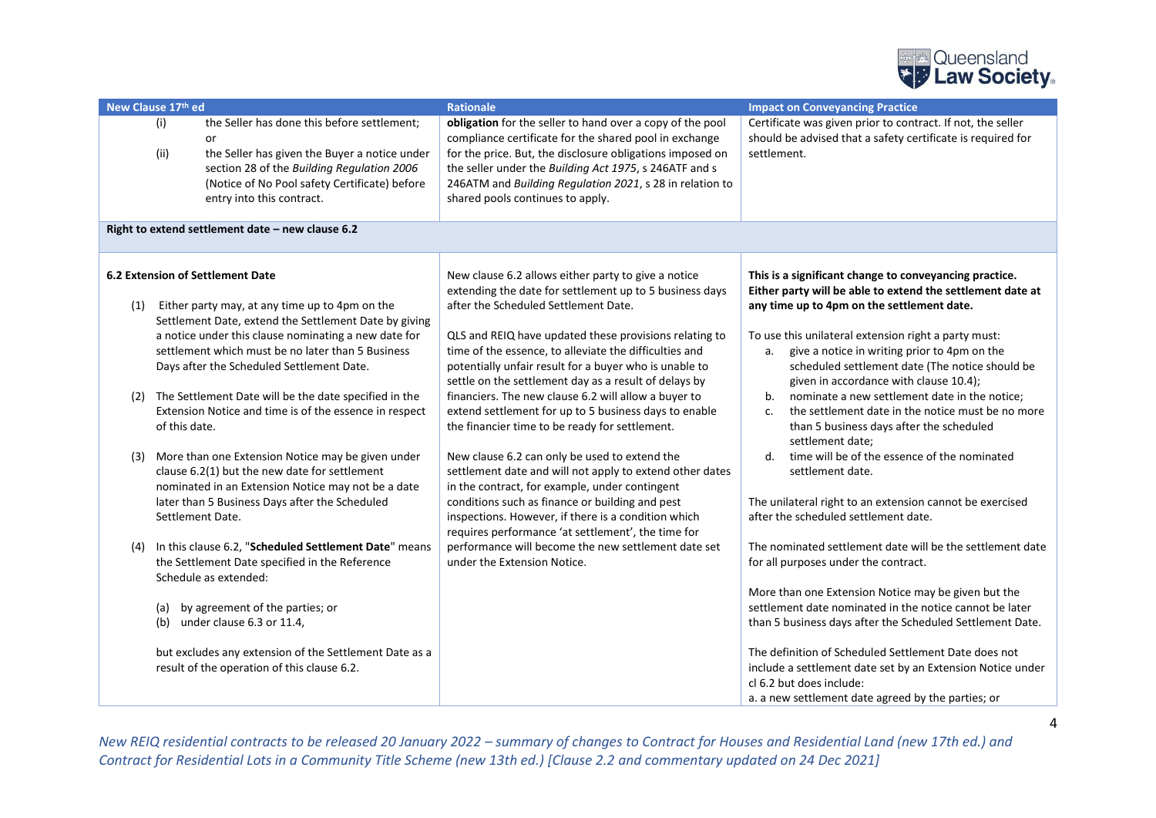

| New Clause 17th ed              |                                                                                                                                                                                                                                                                                                                                                                                                                                                                                                                                                                                                                                                                                                                                                                                                                                                                                                                                                                                                     | <b>Rationale</b>                                                                                                                                                                                                                                                                                                                                                                                                                                                                                                                                                                                                                                                                                                                                                                                                                                                                                                                                                                      | <b>Impact on Conveyancing Practice</b>                                                                                                                                                                                                                                                                                                                                                                                                                                                                                                                                                                                                                                                                                                                                                                                                                                                                                                                                                                                                                                                                                                                                                                                                    |
|---------------------------------|-----------------------------------------------------------------------------------------------------------------------------------------------------------------------------------------------------------------------------------------------------------------------------------------------------------------------------------------------------------------------------------------------------------------------------------------------------------------------------------------------------------------------------------------------------------------------------------------------------------------------------------------------------------------------------------------------------------------------------------------------------------------------------------------------------------------------------------------------------------------------------------------------------------------------------------------------------------------------------------------------------|---------------------------------------------------------------------------------------------------------------------------------------------------------------------------------------------------------------------------------------------------------------------------------------------------------------------------------------------------------------------------------------------------------------------------------------------------------------------------------------------------------------------------------------------------------------------------------------------------------------------------------------------------------------------------------------------------------------------------------------------------------------------------------------------------------------------------------------------------------------------------------------------------------------------------------------------------------------------------------------|-------------------------------------------------------------------------------------------------------------------------------------------------------------------------------------------------------------------------------------------------------------------------------------------------------------------------------------------------------------------------------------------------------------------------------------------------------------------------------------------------------------------------------------------------------------------------------------------------------------------------------------------------------------------------------------------------------------------------------------------------------------------------------------------------------------------------------------------------------------------------------------------------------------------------------------------------------------------------------------------------------------------------------------------------------------------------------------------------------------------------------------------------------------------------------------------------------------------------------------------|
| (i)<br>(ii)                     | the Seller has done this before settlement;<br>or<br>the Seller has given the Buyer a notice under<br>section 28 of the Building Regulation 2006<br>(Notice of No Pool safety Certificate) before<br>entry into this contract.                                                                                                                                                                                                                                                                                                                                                                                                                                                                                                                                                                                                                                                                                                                                                                      | obligation for the seller to hand over a copy of the pool<br>compliance certificate for the shared pool in exchange<br>for the price. But, the disclosure obligations imposed on<br>the seller under the Building Act 1975, s 246ATF and s<br>246ATM and Building Regulation 2021, s 28 in relation to<br>shared pools continues to apply.                                                                                                                                                                                                                                                                                                                                                                                                                                                                                                                                                                                                                                            | Certificate was given prior to contract. If not, the seller<br>should be advised that a safety certificate is required for<br>settlement.                                                                                                                                                                                                                                                                                                                                                                                                                                                                                                                                                                                                                                                                                                                                                                                                                                                                                                                                                                                                                                                                                                 |
|                                 | Right to extend settlement date - new clause 6.2                                                                                                                                                                                                                                                                                                                                                                                                                                                                                                                                                                                                                                                                                                                                                                                                                                                                                                                                                    |                                                                                                                                                                                                                                                                                                                                                                                                                                                                                                                                                                                                                                                                                                                                                                                                                                                                                                                                                                                       |                                                                                                                                                                                                                                                                                                                                                                                                                                                                                                                                                                                                                                                                                                                                                                                                                                                                                                                                                                                                                                                                                                                                                                                                                                           |
| (1)<br>(3)<br>(4)<br>(a)<br>(b) | <b>6.2 Extension of Settlement Date</b><br>Either party may, at any time up to 4pm on the<br>Settlement Date, extend the Settlement Date by giving<br>a notice under this clause nominating a new date for<br>settlement which must be no later than 5 Business<br>Days after the Scheduled Settlement Date.<br>(2) The Settlement Date will be the date specified in the<br>Extension Notice and time is of the essence in respect<br>of this date.<br>More than one Extension Notice may be given under<br>clause 6.2(1) but the new date for settlement<br>nominated in an Extension Notice may not be a date<br>later than 5 Business Days after the Scheduled<br>Settlement Date.<br>In this clause 6.2, "Scheduled Settlement Date" means<br>the Settlement Date specified in the Reference<br>Schedule as extended:<br>by agreement of the parties; or<br>under clause 6.3 or 11.4,<br>but excludes any extension of the Settlement Date as a<br>result of the operation of this clause 6.2. | New clause 6.2 allows either party to give a notice<br>extending the date for settlement up to 5 business days<br>after the Scheduled Settlement Date.<br>QLS and REIQ have updated these provisions relating to<br>time of the essence, to alleviate the difficulties and<br>potentially unfair result for a buyer who is unable to<br>settle on the settlement day as a result of delays by<br>financiers. The new clause 6.2 will allow a buyer to<br>extend settlement for up to 5 business days to enable<br>the financier time to be ready for settlement.<br>New clause 6.2 can only be used to extend the<br>settlement date and will not apply to extend other dates<br>in the contract, for example, under contingent<br>conditions such as finance or building and pest<br>inspections. However, if there is a condition which<br>requires performance 'at settlement', the time for<br>performance will become the new settlement date set<br>under the Extension Notice. | This is a significant change to conveyancing practice.<br>Either party will be able to extend the settlement date at<br>any time up to 4pm on the settlement date.<br>To use this unilateral extension right a party must:<br>give a notice in writing prior to 4pm on the<br>а.<br>scheduled settlement date (The notice should be<br>given in accordance with clause 10.4);<br>nominate a new settlement date in the notice;<br>b.<br>the settlement date in the notice must be no more<br>c.<br>than 5 business days after the scheduled<br>settlement date;<br>time will be of the essence of the nominated<br>d.<br>settlement date.<br>The unilateral right to an extension cannot be exercised<br>after the scheduled settlement date.<br>The nominated settlement date will be the settlement date<br>for all purposes under the contract.<br>More than one Extension Notice may be given but the<br>settlement date nominated in the notice cannot be later<br>than 5 business days after the Scheduled Settlement Date.<br>The definition of Scheduled Settlement Date does not<br>include a settlement date set by an Extension Notice under<br>cl 6.2 but does include:<br>a. a new settlement date agreed by the parties; or |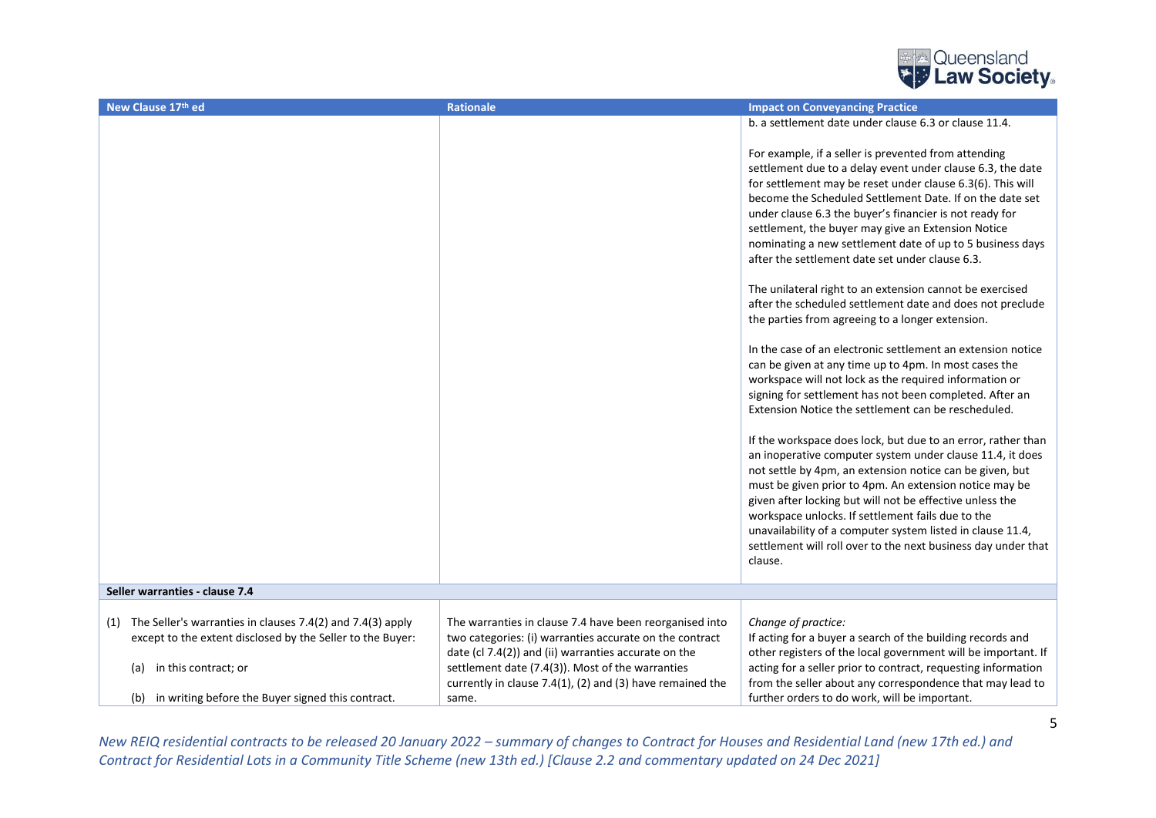

| New Clause 17th ed                                                                                                              | <b>Rationale</b>                                                                                                                                                           | <b>Impact on Conveyancing Practice</b>                                                                                                                                                                                                                                                                                                                                                                                                                                                                                                                                                                                                                                                                                                                                                                                                                                                                                                                                                                                                                                                                                                                                                                                                                                                                                             |
|---------------------------------------------------------------------------------------------------------------------------------|----------------------------------------------------------------------------------------------------------------------------------------------------------------------------|------------------------------------------------------------------------------------------------------------------------------------------------------------------------------------------------------------------------------------------------------------------------------------------------------------------------------------------------------------------------------------------------------------------------------------------------------------------------------------------------------------------------------------------------------------------------------------------------------------------------------------------------------------------------------------------------------------------------------------------------------------------------------------------------------------------------------------------------------------------------------------------------------------------------------------------------------------------------------------------------------------------------------------------------------------------------------------------------------------------------------------------------------------------------------------------------------------------------------------------------------------------------------------------------------------------------------------|
|                                                                                                                                 |                                                                                                                                                                            | b. a settlement date under clause 6.3 or clause 11.4.                                                                                                                                                                                                                                                                                                                                                                                                                                                                                                                                                                                                                                                                                                                                                                                                                                                                                                                                                                                                                                                                                                                                                                                                                                                                              |
|                                                                                                                                 |                                                                                                                                                                            | For example, if a seller is prevented from attending<br>settlement due to a delay event under clause 6.3, the date<br>for settlement may be reset under clause 6.3(6). This will<br>become the Scheduled Settlement Date. If on the date set<br>under clause 6.3 the buyer's financier is not ready for<br>settlement, the buyer may give an Extension Notice<br>nominating a new settlement date of up to 5 business days<br>after the settlement date set under clause 6.3.<br>The unilateral right to an extension cannot be exercised<br>after the scheduled settlement date and does not preclude<br>the parties from agreeing to a longer extension.<br>In the case of an electronic settlement an extension notice<br>can be given at any time up to 4pm. In most cases the<br>workspace will not lock as the required information or<br>signing for settlement has not been completed. After an<br>Extension Notice the settlement can be rescheduled.<br>If the workspace does lock, but due to an error, rather than<br>an inoperative computer system under clause 11.4, it does<br>not settle by 4pm, an extension notice can be given, but<br>must be given prior to 4pm. An extension notice may be<br>given after locking but will not be effective unless the<br>workspace unlocks. If settlement fails due to the |
|                                                                                                                                 |                                                                                                                                                                            | unavailability of a computer system listed in clause 11.4,<br>settlement will roll over to the next business day under that<br>clause.                                                                                                                                                                                                                                                                                                                                                                                                                                                                                                                                                                                                                                                                                                                                                                                                                                                                                                                                                                                                                                                                                                                                                                                             |
| Seller warranties - clause 7.4                                                                                                  |                                                                                                                                                                            |                                                                                                                                                                                                                                                                                                                                                                                                                                                                                                                                                                                                                                                                                                                                                                                                                                                                                                                                                                                                                                                                                                                                                                                                                                                                                                                                    |
|                                                                                                                                 |                                                                                                                                                                            |                                                                                                                                                                                                                                                                                                                                                                                                                                                                                                                                                                                                                                                                                                                                                                                                                                                                                                                                                                                                                                                                                                                                                                                                                                                                                                                                    |
| The Seller's warranties in clauses 7.4(2) and 7.4(3) apply<br>(1)<br>except to the extent disclosed by the Seller to the Buyer: | The warranties in clause 7.4 have been reorganised into<br>two categories: (i) warranties accurate on the contract<br>date (cl 7.4(2)) and (ii) warranties accurate on the | Change of practice:<br>If acting for a buyer a search of the building records and<br>other registers of the local government will be important. If                                                                                                                                                                                                                                                                                                                                                                                                                                                                                                                                                                                                                                                                                                                                                                                                                                                                                                                                                                                                                                                                                                                                                                                 |
| in this contract; or<br>(a)                                                                                                     | settlement date (7.4(3)). Most of the warranties<br>currently in clause 7.4(1), (2) and (3) have remained the                                                              | acting for a seller prior to contract, requesting information<br>from the seller about any correspondence that may lead to                                                                                                                                                                                                                                                                                                                                                                                                                                                                                                                                                                                                                                                                                                                                                                                                                                                                                                                                                                                                                                                                                                                                                                                                         |
| (b) in writing before the Buyer signed this contract.                                                                           | same.                                                                                                                                                                      | further orders to do work, will be important.                                                                                                                                                                                                                                                                                                                                                                                                                                                                                                                                                                                                                                                                                                                                                                                                                                                                                                                                                                                                                                                                                                                                                                                                                                                                                      |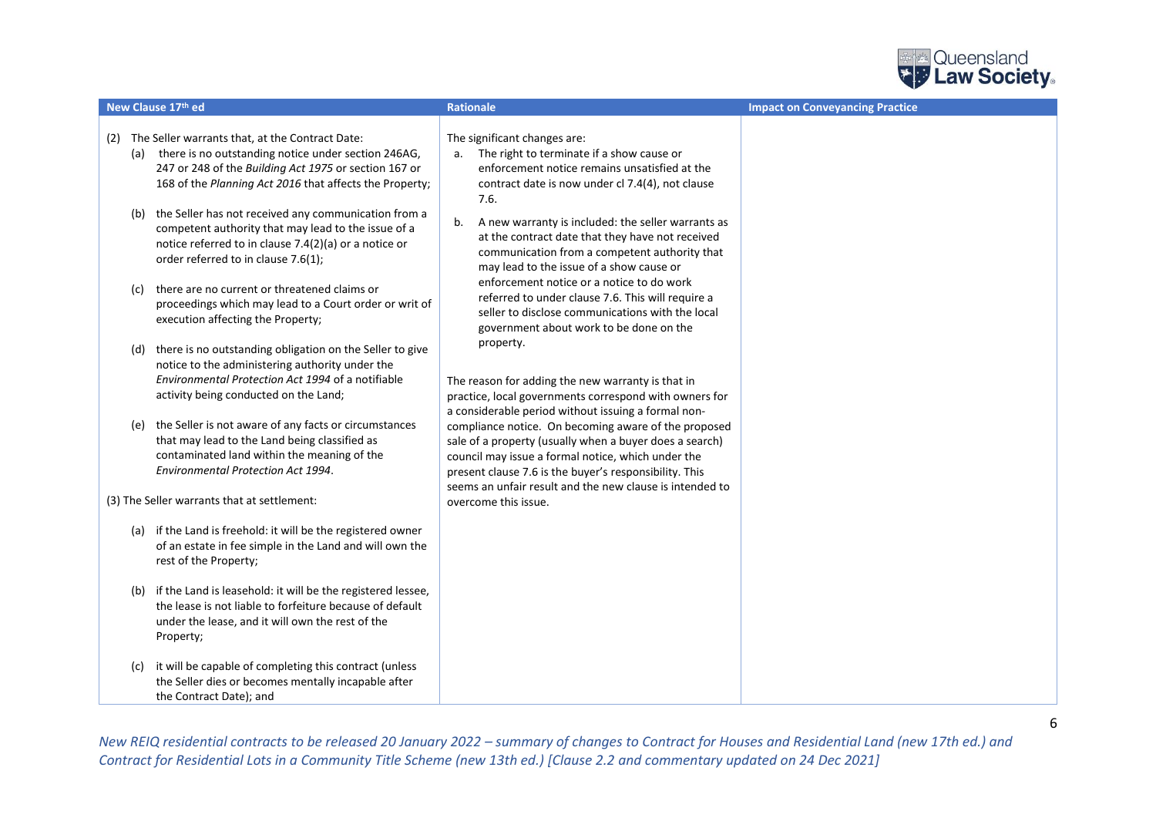

| New Clause 17th ed                                                                                                                                                                                                                    | <b>Rationale</b>                                                                                                                                                                                                                                                                            | <b>Impact on Conveyancing Practice</b> |
|---------------------------------------------------------------------------------------------------------------------------------------------------------------------------------------------------------------------------------------|---------------------------------------------------------------------------------------------------------------------------------------------------------------------------------------------------------------------------------------------------------------------------------------------|----------------------------------------|
| The Seller warrants that, at the Contract Date:<br>(2)<br>(a) there is no outstanding notice under section 246AG,<br>247 or 248 of the Building Act 1975 or section 167 or<br>168 of the Planning Act 2016 that affects the Property; | The significant changes are:<br>The right to terminate if a show cause or<br>a.<br>enforcement notice remains unsatisfied at the<br>contract date is now under cl 7.4(4), not clause<br>7.6.                                                                                                |                                        |
| (b) the Seller has not received any communication from a<br>competent authority that may lead to the issue of a<br>notice referred to in clause 7.4(2)(a) or a notice or<br>order referred to in clause 7.6(1);                       | A new warranty is included: the seller warrants as<br>b.<br>at the contract date that they have not received<br>communication from a competent authority that<br>may lead to the issue of a show cause or                                                                                   |                                        |
| there are no current or threatened claims or<br>(c)<br>proceedings which may lead to a Court order or writ of<br>execution affecting the Property;                                                                                    | enforcement notice or a notice to do work<br>referred to under clause 7.6. This will require a<br>seller to disclose communications with the local<br>government about work to be done on the                                                                                               |                                        |
| there is no outstanding obligation on the Seller to give<br>(d)<br>notice to the administering authority under the<br>Environmental Protection Act 1994 of a notifiable<br>activity being conducted on the Land;                      | property.<br>The reason for adding the new warranty is that in<br>practice, local governments correspond with owners for<br>a considerable period without issuing a formal non-                                                                                                             |                                        |
| the Seller is not aware of any facts or circumstances<br>(e)<br>that may lead to the Land being classified as<br>contaminated land within the meaning of the<br>Environmental Protection Act 1994.                                    | compliance notice. On becoming aware of the proposed<br>sale of a property (usually when a buyer does a search)<br>council may issue a formal notice, which under the<br>present clause 7.6 is the buyer's responsibility. This<br>seems an unfair result and the new clause is intended to |                                        |
| (3) The Seller warrants that at settlement:                                                                                                                                                                                           | overcome this issue.                                                                                                                                                                                                                                                                        |                                        |
| (a) if the Land is freehold: it will be the registered owner<br>of an estate in fee simple in the Land and will own the<br>rest of the Property;                                                                                      |                                                                                                                                                                                                                                                                                             |                                        |
| if the Land is leasehold: it will be the registered lessee,<br>(b)<br>the lease is not liable to forfeiture because of default<br>under the lease, and it will own the rest of the<br>Property;                                       |                                                                                                                                                                                                                                                                                             |                                        |
| it will be capable of completing this contract (unless<br>(c)<br>the Seller dies or becomes mentally incapable after<br>the Contract Date); and                                                                                       |                                                                                                                                                                                                                                                                                             |                                        |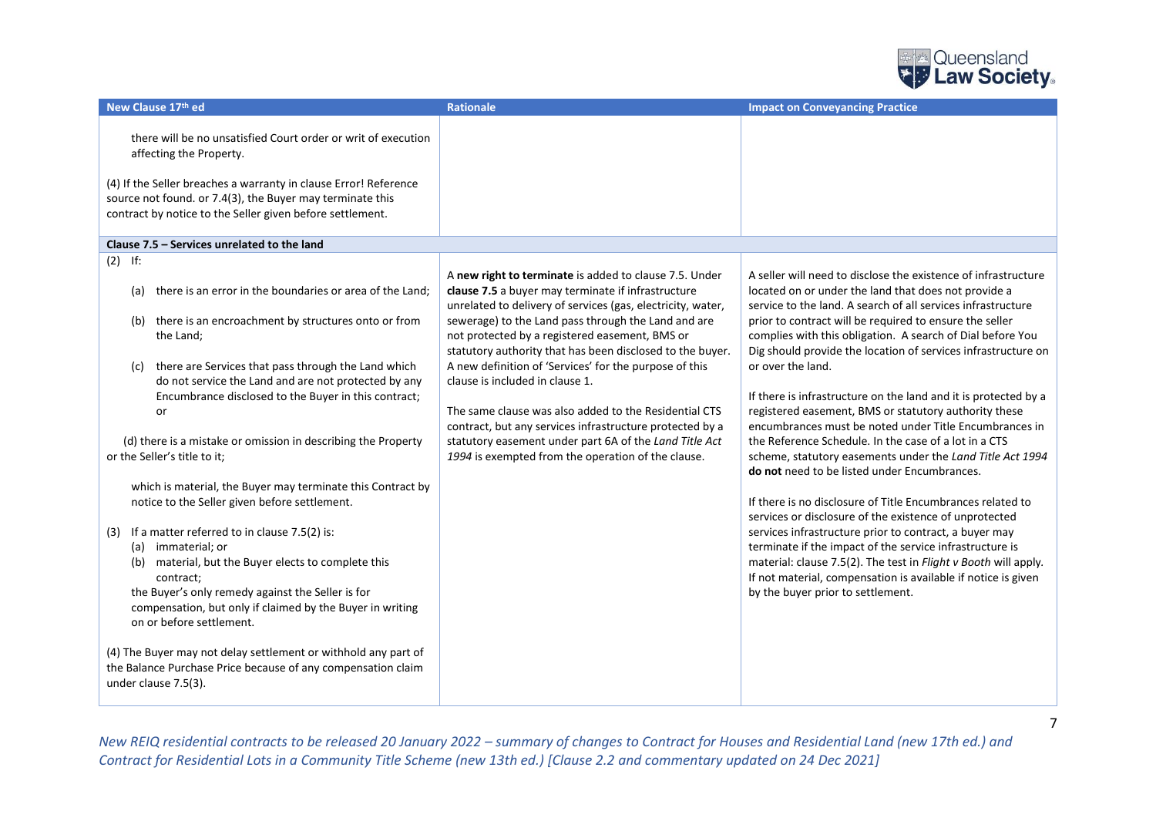

| New Clause 17th ed                                                                                                                                                                                                                                                                                                                                                                                                                                                                                                                                                                                                                                                                                                                                                                                                                                                                                                                                                                                                    | <b>Rationale</b>                                                                                                                                                                                                                                                                                                                                                                                                                                                                                                                                                                                                                                                                    | <b>Impact on Conveyancing Practice</b>                                                                                                                                                                                                                                                                                                                                                                                                                                                                                                                                                                                                                                                                                                                                                                                                                                                                                                                                                                                                                                                                                                                                                   |
|-----------------------------------------------------------------------------------------------------------------------------------------------------------------------------------------------------------------------------------------------------------------------------------------------------------------------------------------------------------------------------------------------------------------------------------------------------------------------------------------------------------------------------------------------------------------------------------------------------------------------------------------------------------------------------------------------------------------------------------------------------------------------------------------------------------------------------------------------------------------------------------------------------------------------------------------------------------------------------------------------------------------------|-------------------------------------------------------------------------------------------------------------------------------------------------------------------------------------------------------------------------------------------------------------------------------------------------------------------------------------------------------------------------------------------------------------------------------------------------------------------------------------------------------------------------------------------------------------------------------------------------------------------------------------------------------------------------------------|------------------------------------------------------------------------------------------------------------------------------------------------------------------------------------------------------------------------------------------------------------------------------------------------------------------------------------------------------------------------------------------------------------------------------------------------------------------------------------------------------------------------------------------------------------------------------------------------------------------------------------------------------------------------------------------------------------------------------------------------------------------------------------------------------------------------------------------------------------------------------------------------------------------------------------------------------------------------------------------------------------------------------------------------------------------------------------------------------------------------------------------------------------------------------------------|
| there will be no unsatisfied Court order or writ of execution<br>affecting the Property.<br>(4) If the Seller breaches a warranty in clause Error! Reference<br>source not found. or 7.4(3), the Buyer may terminate this<br>contract by notice to the Seller given before settlement.                                                                                                                                                                                                                                                                                                                                                                                                                                                                                                                                                                                                                                                                                                                                |                                                                                                                                                                                                                                                                                                                                                                                                                                                                                                                                                                                                                                                                                     |                                                                                                                                                                                                                                                                                                                                                                                                                                                                                                                                                                                                                                                                                                                                                                                                                                                                                                                                                                                                                                                                                                                                                                                          |
| Clause 7.5 - Services unrelated to the land                                                                                                                                                                                                                                                                                                                                                                                                                                                                                                                                                                                                                                                                                                                                                                                                                                                                                                                                                                           |                                                                                                                                                                                                                                                                                                                                                                                                                                                                                                                                                                                                                                                                                     |                                                                                                                                                                                                                                                                                                                                                                                                                                                                                                                                                                                                                                                                                                                                                                                                                                                                                                                                                                                                                                                                                                                                                                                          |
| $(2)$ If:<br>there is an error in the boundaries or area of the Land;<br>(a)<br>there is an encroachment by structures onto or from<br>(b)<br>the Land;<br>there are Services that pass through the Land which<br>(C)<br>do not service the Land and are not protected by any<br>Encumbrance disclosed to the Buyer in this contract;<br>or<br>(d) there is a mistake or omission in describing the Property<br>or the Seller's title to it:<br>which is material, the Buyer may terminate this Contract by<br>notice to the Seller given before settlement.<br>If a matter referred to in clause 7.5(2) is:<br>(3)<br>(a) immaterial; or<br>(b) material, but the Buyer elects to complete this<br>contract;<br>the Buyer's only remedy against the Seller is for<br>compensation, but only if claimed by the Buyer in writing<br>on or before settlement.<br>(4) The Buyer may not delay settlement or withhold any part of<br>the Balance Purchase Price because of any compensation claim<br>under clause 7.5(3). | A new right to terminate is added to clause 7.5. Under<br>clause 7.5 a buyer may terminate if infrastructure<br>unrelated to delivery of services (gas, electricity, water,<br>sewerage) to the Land pass through the Land and are<br>not protected by a registered easement, BMS or<br>statutory authority that has been disclosed to the buyer.<br>A new definition of 'Services' for the purpose of this<br>clause is included in clause 1.<br>The same clause was also added to the Residential CTS<br>contract, but any services infrastructure protected by a<br>statutory easement under part 6A of the Land Title Act<br>1994 is exempted from the operation of the clause. | A seller will need to disclose the existence of infrastructure<br>located on or under the land that does not provide a<br>service to the land. A search of all services infrastructure<br>prior to contract will be required to ensure the seller<br>complies with this obligation. A search of Dial before You<br>Dig should provide the location of services infrastructure on<br>or over the land.<br>If there is infrastructure on the land and it is protected by a<br>registered easement, BMS or statutory authority these<br>encumbrances must be noted under Title Encumbrances in<br>the Reference Schedule. In the case of a lot in a CTS<br>scheme, statutory easements under the Land Title Act 1994<br>do not need to be listed under Encumbrances.<br>If there is no disclosure of Title Encumbrances related to<br>services or disclosure of the existence of unprotected<br>services infrastructure prior to contract, a buyer may<br>terminate if the impact of the service infrastructure is<br>material: clause 7.5(2). The test in Flight v Booth will apply.<br>If not material, compensation is available if notice is given<br>by the buyer prior to settlement. |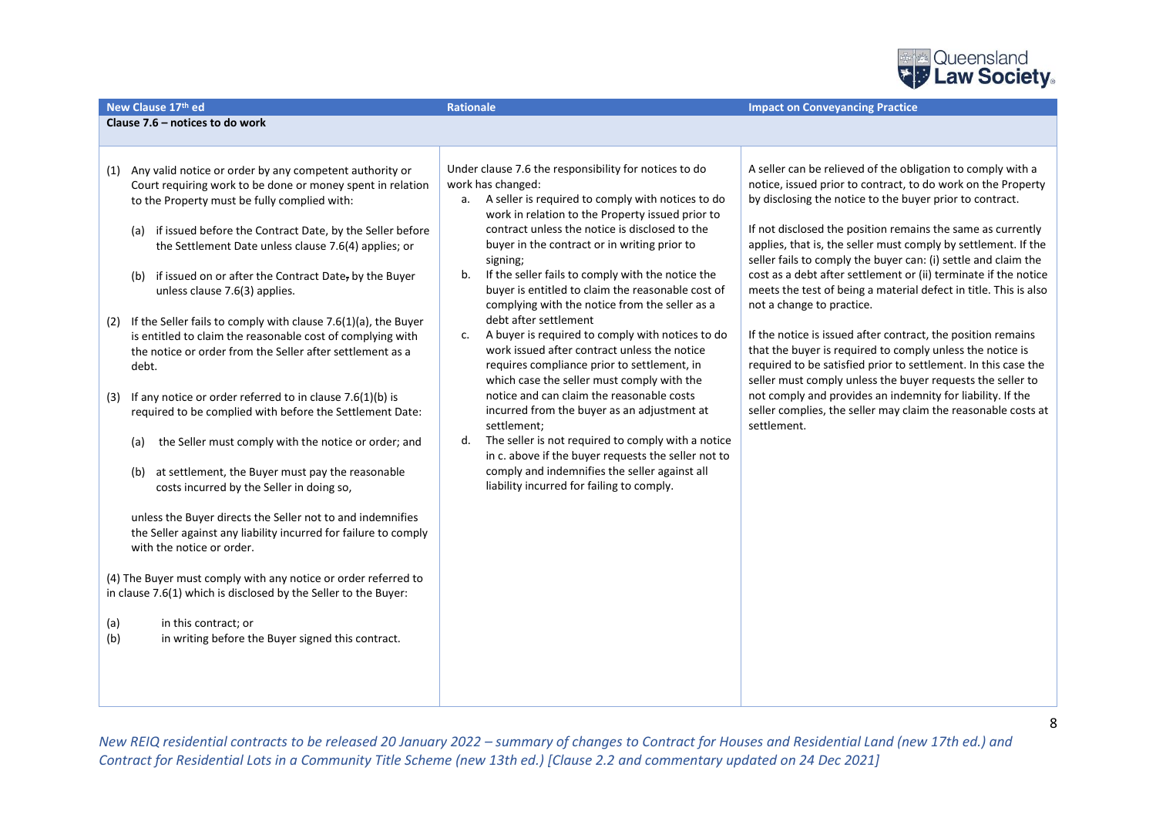

| Clause 7.6 - notices to do work                                                                                                                                                                                                                                                                                                                                                                                                                                                                                                                                                                                                                                                                                                                                                                                                                                                                                                                                                                                                                                                                                                                                                                                                                                                                                              |                                                                                                                                                                                                                                                                                                                                                                                                                                                                                                                                                                                                                                                                                                                                                                                                                                                                                                                                                                                                                                       |                                                                                                                                                                                                                                                                                                                                                                                                                                                                                                                                                                                                                                                                                                                                                                                                                                                                                                                                                                           |
|------------------------------------------------------------------------------------------------------------------------------------------------------------------------------------------------------------------------------------------------------------------------------------------------------------------------------------------------------------------------------------------------------------------------------------------------------------------------------------------------------------------------------------------------------------------------------------------------------------------------------------------------------------------------------------------------------------------------------------------------------------------------------------------------------------------------------------------------------------------------------------------------------------------------------------------------------------------------------------------------------------------------------------------------------------------------------------------------------------------------------------------------------------------------------------------------------------------------------------------------------------------------------------------------------------------------------|---------------------------------------------------------------------------------------------------------------------------------------------------------------------------------------------------------------------------------------------------------------------------------------------------------------------------------------------------------------------------------------------------------------------------------------------------------------------------------------------------------------------------------------------------------------------------------------------------------------------------------------------------------------------------------------------------------------------------------------------------------------------------------------------------------------------------------------------------------------------------------------------------------------------------------------------------------------------------------------------------------------------------------------|---------------------------------------------------------------------------------------------------------------------------------------------------------------------------------------------------------------------------------------------------------------------------------------------------------------------------------------------------------------------------------------------------------------------------------------------------------------------------------------------------------------------------------------------------------------------------------------------------------------------------------------------------------------------------------------------------------------------------------------------------------------------------------------------------------------------------------------------------------------------------------------------------------------------------------------------------------------------------|
|                                                                                                                                                                                                                                                                                                                                                                                                                                                                                                                                                                                                                                                                                                                                                                                                                                                                                                                                                                                                                                                                                                                                                                                                                                                                                                                              |                                                                                                                                                                                                                                                                                                                                                                                                                                                                                                                                                                                                                                                                                                                                                                                                                                                                                                                                                                                                                                       |                                                                                                                                                                                                                                                                                                                                                                                                                                                                                                                                                                                                                                                                                                                                                                                                                                                                                                                                                                           |
|                                                                                                                                                                                                                                                                                                                                                                                                                                                                                                                                                                                                                                                                                                                                                                                                                                                                                                                                                                                                                                                                                                                                                                                                                                                                                                                              |                                                                                                                                                                                                                                                                                                                                                                                                                                                                                                                                                                                                                                                                                                                                                                                                                                                                                                                                                                                                                                       |                                                                                                                                                                                                                                                                                                                                                                                                                                                                                                                                                                                                                                                                                                                                                                                                                                                                                                                                                                           |
| Any valid notice or order by any competent authority or<br>(1)<br>Court requiring work to be done or money spent in relation<br>to the Property must be fully complied with:<br>if issued before the Contract Date, by the Seller before<br>(a)<br>the Settlement Date unless clause 7.6(4) applies; or<br>if issued on or after the Contract Date, by the Buyer<br>(b)<br>unless clause 7.6(3) applies.<br>If the Seller fails to comply with clause 7.6(1)(a), the Buyer<br>(2)<br>is entitled to claim the reasonable cost of complying with<br>the notice or order from the Seller after settlement as a<br>debt.<br>If any notice or order referred to in clause $7.6(1)(b)$ is<br>(3)<br>required to be complied with before the Settlement Date:<br>the Seller must comply with the notice or order; and<br>(a)<br>at settlement, the Buyer must pay the reasonable<br>(b)<br>costs incurred by the Seller in doing so,<br>unless the Buyer directs the Seller not to and indemnifies<br>the Seller against any liability incurred for failure to comply<br>with the notice or order.<br>(4) The Buyer must comply with any notice or order referred to<br>in clause 7.6(1) which is disclosed by the Seller to the Buyer:<br>(a)<br>in this contract; or<br>(b)<br>in writing before the Buyer signed this contract. | Under clause 7.6 the responsibility for notices to do<br>work has changed:<br>A seller is required to comply with notices to do<br>а.<br>work in relation to the Property issued prior to<br>contract unless the notice is disclosed to the<br>buyer in the contract or in writing prior to<br>signing;<br>b.<br>If the seller fails to comply with the notice the<br>buyer is entitled to claim the reasonable cost of<br>complying with the notice from the seller as a<br>debt after settlement<br>A buyer is required to comply with notices to do<br>c.<br>work issued after contract unless the notice<br>requires compliance prior to settlement, in<br>which case the seller must comply with the<br>notice and can claim the reasonable costs<br>incurred from the buyer as an adjustment at<br>settlement;<br>The seller is not required to comply with a notice<br>d.<br>in c. above if the buyer requests the seller not to<br>comply and indemnifies the seller against all<br>liability incurred for failing to comply. | A seller can be relieved of the obligation to comply with a<br>notice, issued prior to contract, to do work on the Property<br>by disclosing the notice to the buyer prior to contract.<br>If not disclosed the position remains the same as currently<br>applies, that is, the seller must comply by settlement. If the<br>seller fails to comply the buyer can: (i) settle and claim the<br>cost as a debt after settlement or (ii) terminate if the notice<br>meets the test of being a material defect in title. This is also<br>not a change to practice.<br>If the notice is issued after contract, the position remains<br>that the buyer is required to comply unless the notice is<br>required to be satisfied prior to settlement. In this case the<br>seller must comply unless the buyer requests the seller to<br>not comply and provides an indemnity for liability. If the<br>seller complies, the seller may claim the reasonable costs at<br>settlement. |
|                                                                                                                                                                                                                                                                                                                                                                                                                                                                                                                                                                                                                                                                                                                                                                                                                                                                                                                                                                                                                                                                                                                                                                                                                                                                                                                              |                                                                                                                                                                                                                                                                                                                                                                                                                                                                                                                                                                                                                                                                                                                                                                                                                                                                                                                                                                                                                                       |                                                                                                                                                                                                                                                                                                                                                                                                                                                                                                                                                                                                                                                                                                                                                                                                                                                                                                                                                                           |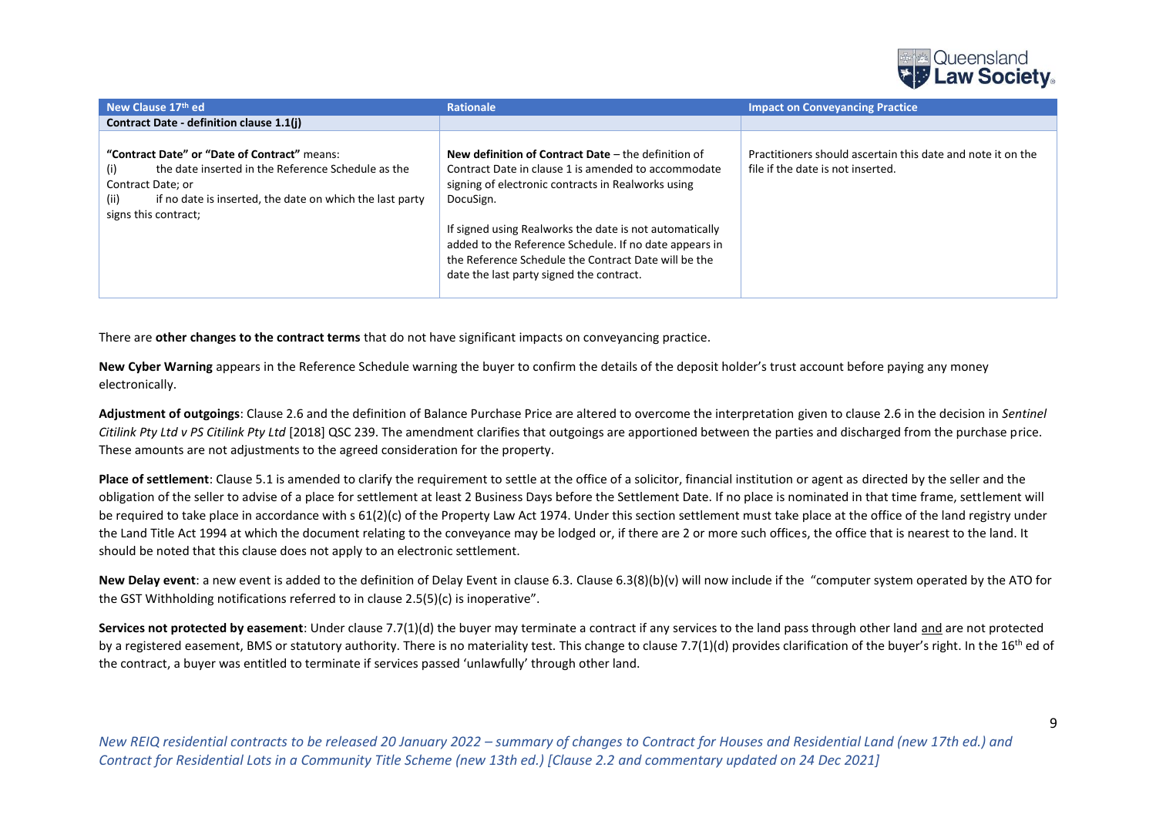

| New Clause 17th ed                                                                                                                                                                                                                 | <b>Rationale</b>                                                                                                                                                                                                                                                                                                                                                                                         | <b>Impact on Conveyancing Practice</b>                                                           |
|------------------------------------------------------------------------------------------------------------------------------------------------------------------------------------------------------------------------------------|----------------------------------------------------------------------------------------------------------------------------------------------------------------------------------------------------------------------------------------------------------------------------------------------------------------------------------------------------------------------------------------------------------|--------------------------------------------------------------------------------------------------|
| Contract Date - definition clause 1.1(i)                                                                                                                                                                                           |                                                                                                                                                                                                                                                                                                                                                                                                          |                                                                                                  |
| "Contract Date" or "Date of Contract" means:<br>the date inserted in the Reference Schedule as the<br>$\vert$ (I)<br>Contract Date: or<br>if no date is inserted, the date on which the last party<br>(ii)<br>signs this contract; | New definition of Contract Date $-$ the definition of<br>Contract Date in clause 1 is amended to accommodate<br>signing of electronic contracts in Realworks using<br>DocuSign.<br>If signed using Realworks the date is not automatically<br>added to the Reference Schedule. If no date appears in<br>the Reference Schedule the Contract Date will be the<br>date the last party signed the contract. | Practitioners should ascertain this date and note it on the<br>file if the date is not inserted. |

There are **other changes to the contract terms** that do not have significant impacts on conveyancing practice.

**New Cyber Warning** appears in the Reference Schedule warning the buyer to confirm the details of the deposit holder's trust account before paying any money electronically.

**Adjustment of outgoings**: Clause 2.6 and the definition of Balance Purchase Price are altered to overcome the interpretation given to clause 2.6 in the decision in *Sentinel Citilink Pty Ltd v PS Citilink Pty Ltd* [2018] QSC 239. The amendment clarifies that outgoings are apportioned between the parties and discharged from the purchase price. These amounts are not adjustments to the agreed consideration for the property.

**Place of settlement**: Clause 5.1 is amended to clarify the requirement to settle at the office of a solicitor, financial institution or agent as directed by the seller and the obligation of the seller to advise of a place for settlement at least 2 Business Days before the Settlement Date. If no place is nominated in that time frame, settlement will be required to take place in accordance with s 61(2)(c) of the Property Law Act 1974. Under this section settlement must take place at the office of the land registry under the Land Title Act 1994 at which the document relating to the conveyance may be lodged or, if there are 2 or more such offices, the office that is nearest to the land. It should be noted that this clause does not apply to an electronic settlement.

**New Delay event**: a new event is added to the definition of Delay Event in clause 6.3. Clause 6.3(8)(b)(v) will now include if the "computer system operated by the ATO for the GST Withholding notifications referred to in clause 2.5(5)(c) is inoperative".

**Services not protected by easement**: Under clause 7.7(1)(d) the buyer may terminate a contract if any services to the land pass through other land and are not protected by a registered easement, BMS or statutory authority. There is no materiality test. This change to clause 7.7(1)(d) provides clarification of the buyer's right. In the 16<sup>th</sup> ed of the contract, a buyer was entitled to terminate if services passed 'unlawfully' through other land.